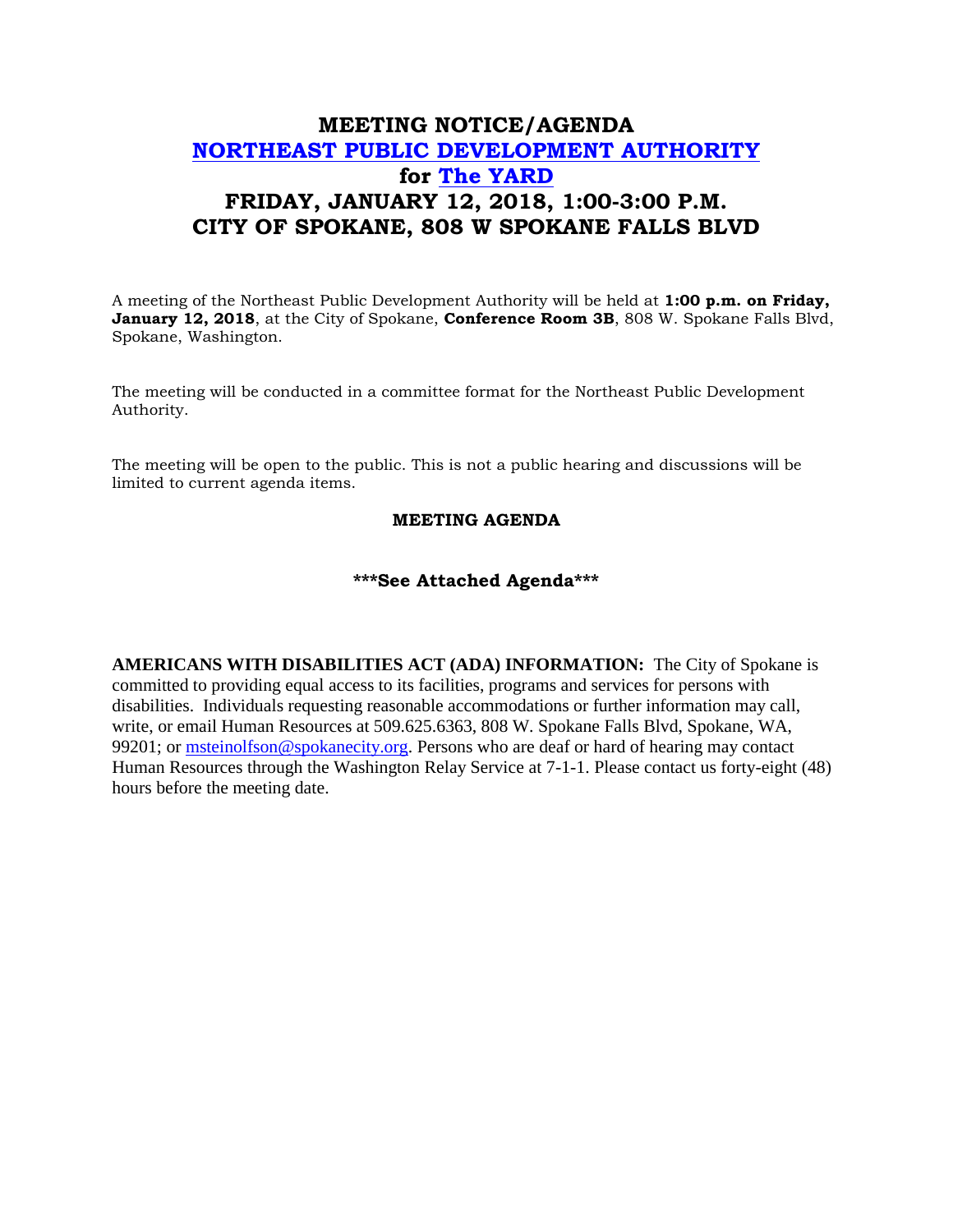## **MEETING NOTICE/AGENDA [NORTHEAST PUBLIC DEVELOPMENT AUTHORITY](https://beta.spokanecity.org/bcc/boards/northeast-public-development-authority/) for [The YARD](https://beta.spokanecity.org/projects/theyard/) FRIDAY, JANUARY 12, 2018, 1:00-3:00 P.M. CITY OF SPOKANE, 808 W SPOKANE FALLS BLVD**

A meeting of the Northeast Public Development Authority will be held at **1:00 p.m. on Friday, January 12, 2018**, at the City of Spokane, **Conference Room 3B**, 808 W. Spokane Falls Blvd, Spokane, Washington.

The meeting will be conducted in a committee format for the Northeast Public Development Authority.

The meeting will be open to the public. This is not a public hearing and discussions will be limited to current agenda items.

## **MEETING AGENDA**

## **\*\*\*See Attached Agenda\*\*\***

**AMERICANS WITH DISABILITIES ACT (ADA) INFORMATION:** The City of Spokane is committed to providing equal access to its facilities, programs and services for persons with disabilities. Individuals requesting reasonable accommodations or further information may call, write, or email Human Resources at 509.625.6363, 808 W. Spokane Falls Blvd, Spokane, WA, 99201; or [msteinolfson@spokanecity.org.](mailto:msteinolfson@spokanecity.org) Persons who are deaf or hard of hearing may contact Human Resources through the Washington Relay Service at 7-1-1. Please contact us forty-eight (48) hours before the meeting date.